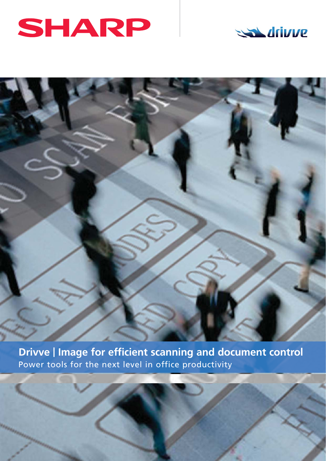



**Drivve | Image for efficient scanning and document control** Power tools for the next level in office productivity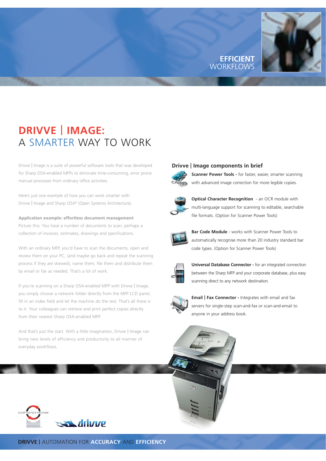### **EFFICIENT** WORKFLO



# **DRIVVE** | **IMAGE:**  A SMARTER WAY TO WORK

Drivve | Image is a suite of powerful software tools that was developed for Sharp OSA-enabled MFPs to eliminate time-consuming, error prone manual processes from ordinary office activities.

Here's just one example of how you can work smarter with Drivve | Image and Sharp OSA® (Open Systems Architecture).

#### **Application example: effortless document management**

Picture this: You have a number of documents to scan; perhaps a collection of invoices, estimates, drawings and specifications.

With an ordinary MFP, you'd have to scan the documents, open and review them on your PC, (and maybe go back and repeat the scanning process if they are skewed), name them, file them and distribute them by email or fax as needed. That's a lot of work.

If you're scanning on a Sharp OSA-enabled MFP with Drivve | Image, you simply choose a network folder directly from the MFP LCD panel, fill in an index field and let the machine do the rest. That's all there is to it. Your colleagues can retrieve and print perfect copies directly from their nearest Sharp OSA-enabled MFP.

And that's just the start. With a little imagination, Drivve | Image can bring new levels of efficiency and productivity to all manner of everyday workflows.

#### **Drivve** | **Image components in brief**



**Scanner Power Tools -** for faster, easier, smarter scanning with advanced image correction for more legible copies.



**Optical Character Recognition** - an OCR module with multi-language support for scanning to editable, searchable file formats. (Option for Scanner Power Tools)



**Bar Code Module** - works with Scanner Power Tools to automatically recognise more than 20 industry standard bar code types. (Option for Scanner Power Tools)



**Universal Database Connector -** for an integrated connection between the Sharp MFP and your corporate database, plus easy scanning direct to any network destination.



**Email** | **Fax Connector -** Integrates with email and fax servers for single-step scan-and-fax or scan-and-email to anyone in your address book.



**DRIVVE |** AUTOMATION FOR **ACCURACY** AND **EFFICIENCY**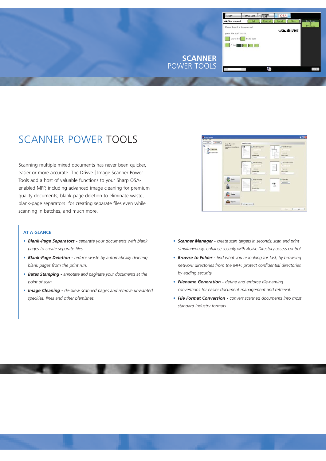

### SCANNER POWER TOOLS

Scanning multiple mixed documents has never been quicker, easier or more accurate. The Drivve | Image Scanner Power Tools add a host of valuable functions to your Sharp OSAenabled MFP, including advanced image cleaning for premium quality documents; blank-page deletion to eliminate waste, blank-page separators for creating separate files even while scanning in batches, and much more.

#### **AT A GLANCE**

- *• Blank-Page Separators - separate your documents with blank pages to create separate files.*
- *• Blank-Page Deletion - reduce waste by automatically deleting blank pages from the print run.*
- *• Bates Stamping - annotate and paginate your documents at the point of scan.*
- *• Image Cleaning - de-skew scanned pages and remove unwanted speckles, lines and other blemishes.*



- *• Scanner Manager - create scan targets in seconds; scan and print simultaneously; enhance security with Active Directory access control.*
- *• Browse to Folder - find what you're looking for fast, by browsing network directories from the MFP; protect confidential directories by adding security.*
- *• Filename Generation - define and enforce file-naming conventions for easier document management and retrieval.*
- *• File Format Conversion - convert scanned documents into most standard industry formats.*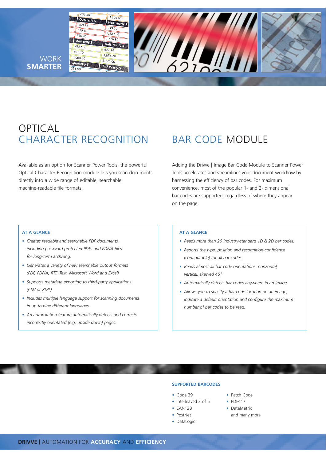

### OPTICAL CHARACTER RECOGNITION BAR CODE MODULE

Available as an option for Scanner Power Tools, the powerful Optical Character Recognition module lets you scan documents directly into a wide range of editable, searchable, machine-readable file formats.

Adding the Drivve | Image Bar Code Module to Scanner Power Tools accelerates and streamlines your document workflow by harnessing the efficiency of bar codes. For maximum convenience, most of the popular 1- and 2- dimensional bar codes are supported, regardless of where they appear on the page.

#### **AT A GLANCE**

- *• Creates readable and searchable PDF documents, including password protected PDFs and PDF/A files for long-term archiving.*
- *• Generates a variety of new searchable output formats (PDF, PDF/A, RTF, Text, Microsoft Word and Excel)*
- *• Supports metadata exporting to third-party applications (CSV or XML)*
- *• Includes multiple language support for scanning documents in up to nine different languages.*
- *• An autorotation feature automatically detects and corrects incorrectly orientated (e.g. upside down) pages.*

### **AT A GLANCE**

- *• Reads more than 20 industry-standard 1D & 2D bar codes.*
- *• Reports the type, position and recognition-confidence (configurable) for all bar codes.*
- *• Reads almost all bar code orientations: horizontal, vertical, skewed 45 <sup>o</sup>*
- *• Automatically detects bar codes anywhere in an image.*
- *• Allows you to specify a bar code location on an image, indicate a default orientation and configure the maximum number of bar codes to be read.*

#### **SUPPORTED BARCODES**

- *•* Code 39 *•* Patch Code
- *•* Interleaved 2 of 5 *•* PDF417
- 
- 
- *•* DataLogic
- 
- *•* EAN128 *•* DataMatrix
- PostNet and many more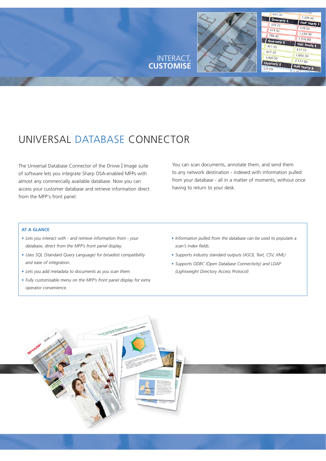

## UNIVERSAL DATABASE CONNECTOR

The Universal Database Connector of the Drivve | Image suite of software lets you integrate Sharp OSA-enabled MFPs with almost any commercially available database. Now you can access your customer database and retrieve information direct from the MFP's front panel.

You can scan documents, annotate them, and send them to any network destination - indexed with information pulled from your database - all in a matter of moments, without once having to return to your desk.

#### **AT A GLANCE**

- *• Lets you interact with and retrieve information from your database, direct from the MFP's front panel display.*
- *• Uses SQL (Standard Query Language) for broadest compatibility and ease of integration.*
- *• Lets you add metadata to documents as you scan them.*
- *• Fully customisable menu on the MFP's front panel display for extra operator convenience.*
- *• Information pulled from the database can be used to populate a scan's index fields.*
- *• Supports industry standard outputs (ASCII, Text, CSV, XML)*
- *• Supports ODBC (Open Database Connectivity) and LDAP (Lightweight Directory Access Protocol)*

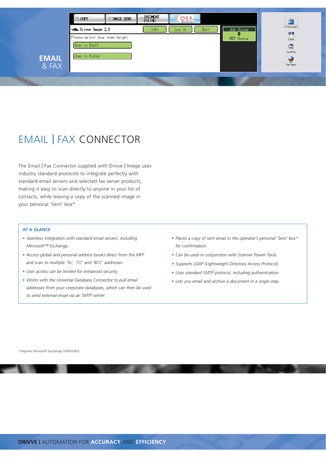

## EMAIL | FAX CONNECTOR

The Email | Fax Connector supplied with Drivve | Image uses industry standard protocols to integrate perfectly with standard email servers and selected fax server products, making it easy to scan directly to anyone in your list of contacts, while leaving a copy of the scanned image in your personal 'Sent' box\*.

#### **AT A GLANCE**

- *• Seamless integration with standard email servers, including Microsoft™ Exchange.*
- *• Access global and personal address books direct from the MFP and scan to multiple 'To', 'CC' and 'BCC' addresses.*
- *• User access can be limited for enhanced security.*
- *• Works with the Universal Database Connector to pull email addresses from your corporate databases, which can then be used to send external email via an SMTP server.*
- *• Places a copy of sent email in the operator's personal 'Sent' box\* for confirmation.*
- *• Can be used in conjunction with Scanner Power Tools.*
- *• Supports LDAP (Lightweight Directory Access Protocol).*
- *• Uses standard SMTP protocol, including authentication.*
- *• Lets you email and archive a document in a single step.*

\*requires Microsoft Exchange 2000/2003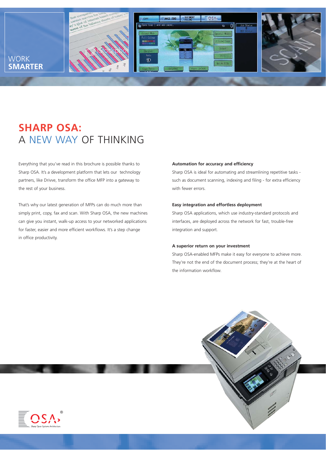

### **SHARP OSA:**  A NEW WAY OF THINKING

Everything that you've read in this brochure is possible thanks to Sharp OSA. It's a development platform that lets our technology partners, like Drivve, transform the office MFP into a gateway to the rest of your business.

That's why our latest generation of MFPs can do much more than simply print, copy, fax and scan. With Sharp OSA, the new machines can give you instant, walk-up access to your networked applications for faster, easier and more efficient workflows. It's a step change in office productivity.

#### **Automation for accuracy and efficiency**

Sharp OSA is ideal for automating and streamlining repetitive tasks such as document scanning, indexing and filing - for extra efficiency with fewer errors.

#### **Easy integration and effortless deployment**

Sharp OSA applications, which use industry-standard protocols and interfaces, are deployed across the network for fast, trouble-free integration and support.

#### **A superior return on your investment**

Sharp OSA-enabled MFPs make it easy for everyone to achieve more. They're not the end of the document process; they're at the heart of the information workflow.